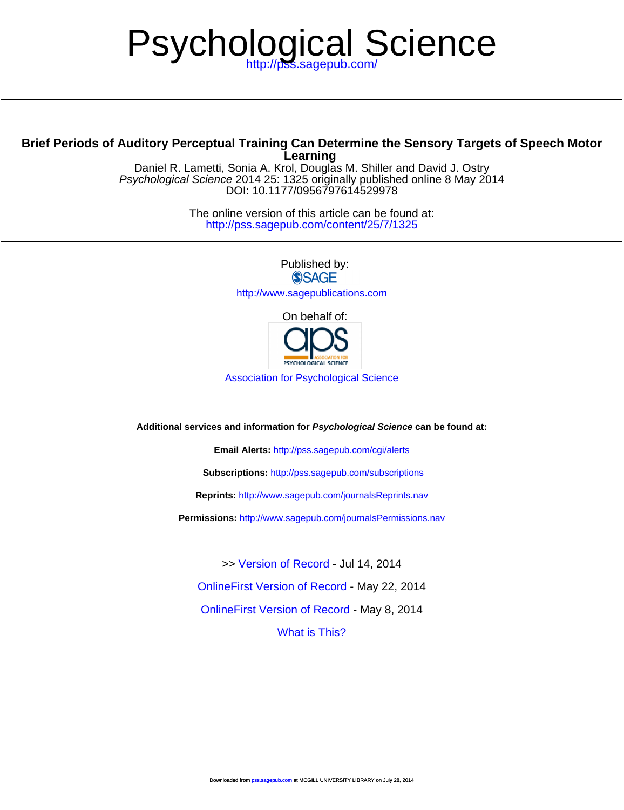# Psychological Science

# **Learning Brief Periods of Auditory Perceptual Training Can Determine the Sensory Targets of Speech Motor**

DOI: 10.1177/0956797614529978 Psychological Science 2014 25: 1325 originally published online 8 May 2014 Daniel R. Lametti, Sonia A. Krol, Douglas M. Shiller and David J. Ostrv

> <http://pss.sagepub.com/content/25/7/1325> The online version of this article can be found at:

> > Published by:<br>
> > SAGE <http://www.sagepublications.com>

> > > On behalf of:



[Association for Psychological Science](http://www.psychologicalscience.org/)

**Additional services and information for Psychological Science can be found at:**

**Email Alerts:** <http://pss.sagepub.com/cgi/alerts>

**Subscriptions:** <http://pss.sagepub.com/subscriptions>

**Reprints:** <http://www.sagepub.com/journalsReprints.nav>

**Permissions:** <http://www.sagepub.com/journalsPermissions.nav>

[What is This?](http://online.sagepub.com/site/sphelp/vorhelp.xhtml) [OnlineFirst Version of Record -](http://pss.sagepub.com/content/early/2014/05/06/0956797614529978.full.pdf) May 8, 2014 [OnlineFirst Version of Record -](http://pss.sagepub.com/content/early/2014/05/20/0956797614529978.full.pdf) May 22, 2014 >> [Version of Record -](http://pss.sagepub.com/content/25/7/1325.full.pdf) Jul 14, 2014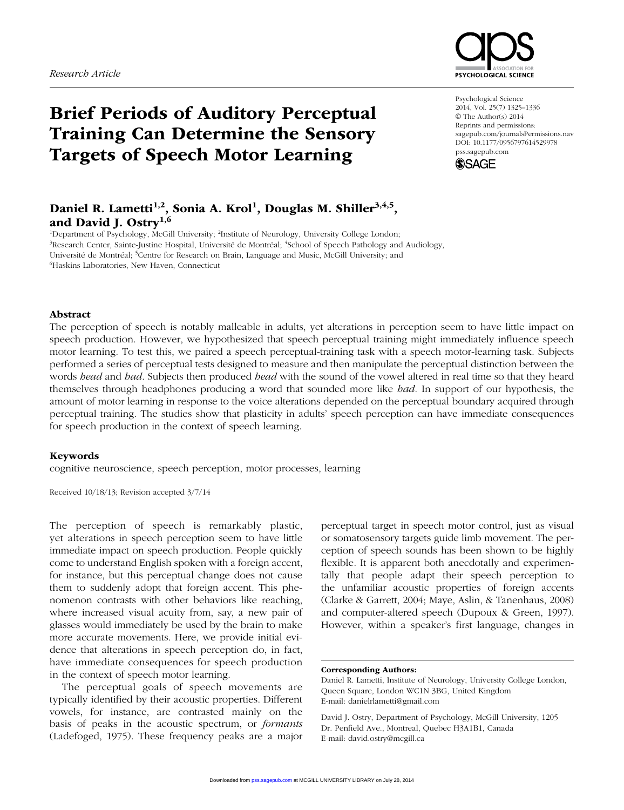

# Brief Periods of Auditory Perceptual Training Can Determine the Sensory Targets of Speech Motor Learning

# Daniel R. Lametti<sup>1,2</sup>, Sonia A. Krol<sup>1</sup>, Douglas M. Shiller<sup>3,4,5</sup>, and David J. Ostry $^{1,6}$

<sup>1</sup>Department of Psychology, McGill University; <sup>2</sup>Institute of Neurology, University College London;<br><sup>3</sup>Research Center, Sainte-Justine Hospital, Université de Montréal: <sup>4</sup>School of Speech Pathology and Research Center, Sainte-Justine Hospital, Université de Montréal; <sup>4</sup>School of Speech Pathology and Audiology, Université de Montréal; <sup>5</sup>Centre for Research on Brain, Language and Music, McGill University; and<br><sup>6</sup>Haskins Laboratories, New Haven, Connecticut Haskins Laboratories, New Haven, Connecticut

#### Abstract

The perception of speech is notably malleable in adults, yet alterations in perception seem to have little impact on speech production. However, we hypothesized that speech perceptual training might immediately influence speech motor learning. To test this, we paired a speech perceptual-training task with a speech motor-learning task. Subjects performed a series of perceptual tests designed to measure and then manipulate the perceptual distinction between the words *head* and *had*. Subjects then produced *head* with the sound of the vowel altered in real time so that they heard themselves through headphones producing a word that sounded more like *had*. In support of our hypothesis, the amount of motor learning in response to the voice alterations depended on the perceptual boundary acquired through perceptual training. The studies show that plasticity in adults' speech perception can have immediate consequences for speech production in the context of speech learning.

#### Keywords

cognitive neuroscience, speech perception, motor processes, learning

Received 10/18/13; Revision accepted 3/7/14

The perception of speech is remarkably plastic, yet alterations in speech perception seem to have little immediate impact on speech production. People quickly come to understand English spoken with a foreign accent, for instance, but this perceptual change does not cause them to suddenly adopt that foreign accent. This phenomenon contrasts with other behaviors like reaching, where increased visual acuity from, say, a new pair of glasses would immediately be used by the brain to make more accurate movements. Here, we provide initial evidence that alterations in speech perception do, in fact, have immediate consequences for speech production in the context of speech motor learning.

The perceptual goals of speech movements are typically identified by their acoustic properties. Different vowels, for instance, are contrasted mainly on the basis of peaks in the acoustic spectrum, or *formants* (Ladefoged, 1975). These frequency peaks are a major

perceptual target in speech motor control, just as visual or somatosensory targets guide limb movement. The perception of speech sounds has been shown to be highly flexible. It is apparent both anecdotally and experimentally that people adapt their speech perception to the unfamiliar acoustic properties of foreign accents (Clarke & Garrett, 2004; Maye, Aslin, & Tanenhaus, 2008) and computer-altered speech (Dupoux & Green, 1997). However, within a speaker's first language, changes in

#### Corresponding Authors:

Daniel R. Lametti, Institute of Neurology, University College London, Queen Square, London WC1N 3BG, United Kingdom E-mail: danielrlametti@gmail.com

David J. Ostry, Department of Psychology, McGill University, 1205 Dr. Penfield Ave., Montreal, Quebec H3A1B1, Canada E-mail: david.ostry@mcgill.ca

Psychological Science 2014, Vol. 25(7) 1325–1336 © The Author(s) 2014 Reprints and permissions: sagepub.com/journalsPermissions.nav DOI: 10.1177/0956797614529978 pss.sagepub.com

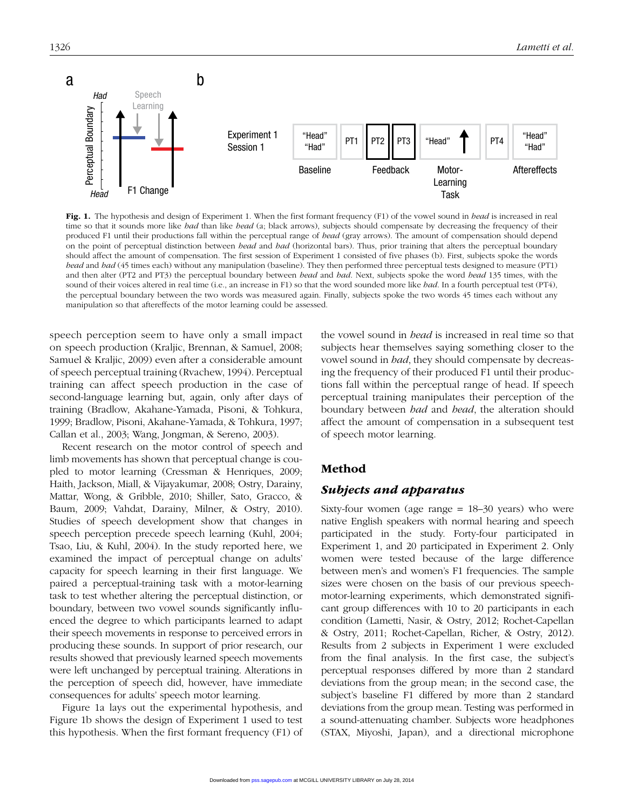

Fig. 1. The hypothesis and design of Experiment 1. When the first formant frequency (F1) of the vowel sound in *head* is increased in real time so that it sounds more like *had* than like *head* (a; black arrows), subjects should compensate by decreasing the frequency of their produced F1 until their productions fall within the perceptual range of *head* (gray arrows). The amount of compensation should depend on the point of perceptual distinction between *head* and *had* (horizontal bars). Thus, prior training that alters the perceptual boundary should affect the amount of compensation. The first session of Experiment 1 consisted of five phases (b). First, subjects spoke the words *head* and *had* (45 times each) without any manipulation (baseline). They then performed three perceptual tests designed to measure (PT1) and then alter (PT2 and PT3) the perceptual boundary between *head* and *had*. Next, subjects spoke the word *head* 135 times, with the sound of their voices altered in real time (i.e., an increase in F1) so that the word sounded more like *had*. In a fourth perceptual test (PT4), the perceptual boundary between the two words was measured again. Finally, subjects spoke the two words 45 times each without any manipulation so that aftereffects of the motor learning could be assessed.

speech perception seem to have only a small impact on speech production (Kraljic, Brennan, & Samuel, 2008; Samuel & Kraljic, 2009) even after a considerable amount of speech perceptual training (Rvachew, 1994). Perceptual training can affect speech production in the case of second-language learning but, again, only after days of training (Bradlow, Akahane-Yamada, Pisoni, & Tohkura, 1999; Bradlow, Pisoni, Akahane-Yamada, & Tohkura, 1997; Callan et al., 2003; Wang, Jongman, & Sereno, 2003).

Recent research on the motor control of speech and limb movements has shown that perceptual change is coupled to motor learning (Cressman & Henriques, 2009; Haith, Jackson, Miall, & Vijayakumar, 2008; Ostry, Darainy, Mattar, Wong, & Gribble, 2010; Shiller, Sato, Gracco, & Baum, 2009; Vahdat, Darainy, Milner, & Ostry, 2010). Studies of speech development show that changes in speech perception precede speech learning (Kuhl, 2004; Tsao, Liu, & Kuhl, 2004). In the study reported here, we examined the impact of perceptual change on adults' capacity for speech learning in their first language. We paired a perceptual-training task with a motor-learning task to test whether altering the perceptual distinction, or boundary, between two vowel sounds significantly influenced the degree to which participants learned to adapt their speech movements in response to perceived errors in producing these sounds. In support of prior research, our results showed that previously learned speech movements were left unchanged by perceptual training. Alterations in the perception of speech did, however, have immediate consequences for adults' speech motor learning.

Figure 1a lays out the experimental hypothesis, and Figure 1b shows the design of Experiment 1 used to test this hypothesis. When the first formant frequency (F1) of the vowel sound in *head* is increased in real time so that subjects hear themselves saying something closer to the vowel sound in *had*, they should compensate by decreasing the frequency of their produced F1 until their productions fall within the perceptual range of head. If speech perceptual training manipulates their perception of the boundary between *had* and *head*, the alteration should affect the amount of compensation in a subsequent test of speech motor learning.

# Method

# *Subjects and apparatus*

Sixty-four women (age range = 18–30 years) who were native English speakers with normal hearing and speech participated in the study. Forty-four participated in Experiment 1, and 20 participated in Experiment 2. Only women were tested because of the large difference between men's and women's F1 frequencies. The sample sizes were chosen on the basis of our previous speechmotor-learning experiments, which demonstrated significant group differences with 10 to 20 participants in each condition (Lametti, Nasir, & Ostry, 2012; Rochet-Capellan & Ostry, 2011; Rochet-Capellan, Richer, & Ostry, 2012). Results from 2 subjects in Experiment 1 were excluded from the final analysis. In the first case, the subject's perceptual responses differed by more than 2 standard deviations from the group mean; in the second case, the subject's baseline F1 differed by more than 2 standard deviations from the group mean. Testing was performed in a sound-attenuating chamber. Subjects wore headphones (STAX, Miyoshi, Japan), and a directional microphone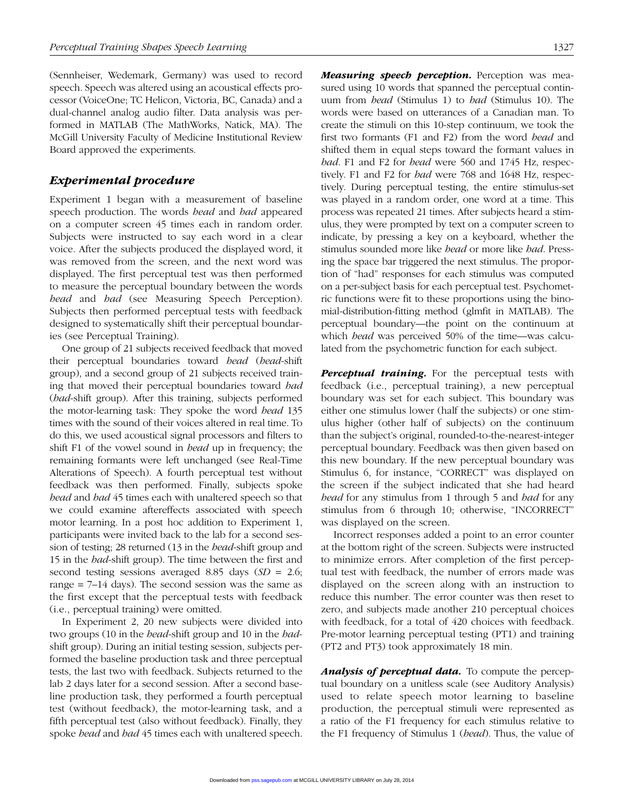(Sennheiser, Wedemark, Germany) was used to record speech. Speech was altered using an acoustical effects processor (VoiceOne; TC Helicon, Victoria, BC, Canada) and a dual-channel analog audio filter. Data analysis was performed in MATLAB (The MathWorks, Natick, MA). The McGill University Faculty of Medicine Institutional Review Board approved the experiments.

## *Experimental procedure*

Experiment 1 began with a measurement of baseline speech production. The words *head* and *had* appeared on a computer screen 45 times each in random order. Subjects were instructed to say each word in a clear voice. After the subjects produced the displayed word, it was removed from the screen, and the next word was displayed. The first perceptual test was then performed to measure the perceptual boundary between the words *head* and *had* (see Measuring Speech Perception). Subjects then performed perceptual tests with feedback designed to systematically shift their perceptual boundaries (see Perceptual Training).

One group of 21 subjects received feedback that moved their perceptual boundaries toward *head* (*head*-shift group), and a second group of 21 subjects received training that moved their perceptual boundaries toward *had* (*had*-shift group). After this training, subjects performed the motor-learning task: They spoke the word *head* 135 times with the sound of their voices altered in real time. To do this, we used acoustical signal processors and filters to shift F1 of the vowel sound in *head* up in frequency; the remaining formants were left unchanged (see Real-Time Alterations of Speech). A fourth perceptual test without feedback was then performed. Finally, subjects spoke *head* and *had* 45 times each with unaltered speech so that we could examine aftereffects associated with speech motor learning. In a post hoc addition to Experiment 1, participants were invited back to the lab for a second session of testing; 28 returned (13 in the *head*-shift group and 15 in the *had*-shift group). The time between the first and second testing sessions averaged 8.85 days (*SD* = 2.6; range  $= 7-14$  days). The second session was the same as the first except that the perceptual tests with feedback (i.e., perceptual training) were omitted.

In Experiment 2, 20 new subjects were divided into two groups (10 in the *head*-shift group and 10 in the *had*shift group). During an initial testing session, subjects performed the baseline production task and three perceptual tests, the last two with feedback. Subjects returned to the lab 2 days later for a second session. After a second baseline production task, they performed a fourth perceptual test (without feedback), the motor-learning task, and a fifth perceptual test (also without feedback). Finally, they spoke *head* and *had* 45 times each with unaltered speech. *Measuring speech perception.* Perception was measured using 10 words that spanned the perceptual continuum from *head* (Stimulus 1) to *had* (Stimulus 10). The words were based on utterances of a Canadian man. To create the stimuli on this 10-step continuum, we took the first two formants (F1 and F2) from the word *head* and shifted them in equal steps toward the formant values in *had*. F1 and F2 for *head* were 560 and 1745 Hz, respectively. F1 and F2 for *had* were 768 and 1648 Hz, respectively. During perceptual testing, the entire stimulus-set was played in a random order, one word at a time. This process was repeated 21 times. After subjects heard a stimulus, they were prompted by text on a computer screen to indicate, by pressing a key on a keyboard, whether the stimulus sounded more like *head* or more like *had*. Pressing the space bar triggered the next stimulus. The proportion of "had" responses for each stimulus was computed on a per-subject basis for each perceptual test. Psychometric functions were fit to these proportions using the binomial-distribution-fitting method (glmfit in MATLAB). The perceptual boundary—the point on the continuum at which *head* was perceived 50% of the time—was calculated from the psychometric function for each subject.

**Perceptual training.** For the perceptual tests with feedback (i.e., perceptual training), a new perceptual boundary was set for each subject. This boundary was either one stimulus lower (half the subjects) or one stimulus higher (other half of subjects) on the continuum than the subject's original, rounded-to-the-nearest-integer perceptual boundary. Feedback was then given based on this new boundary. If the new perceptual boundary was Stimulus 6, for instance, "CORRECT" was displayed on the screen if the subject indicated that she had heard *head* for any stimulus from 1 through 5 and *had* for any stimulus from 6 through 10; otherwise, "INCORRECT" was displayed on the screen.

Incorrect responses added a point to an error counter at the bottom right of the screen. Subjects were instructed to minimize errors. After completion of the first perceptual test with feedback, the number of errors made was displayed on the screen along with an instruction to reduce this number. The error counter was then reset to zero, and subjects made another 210 perceptual choices with feedback, for a total of 420 choices with feedback. Pre-motor learning perceptual testing (PT1) and training (PT2 and PT3) took approximately 18 min.

*Analysis of perceptual data.* To compute the perceptual boundary on a unitless scale (see Auditory Analysis) used to relate speech motor learning to baseline production, the perceptual stimuli were represented as a ratio of the F1 frequency for each stimulus relative to the F1 frequency of Stimulus 1 (*head*). Thus, the value of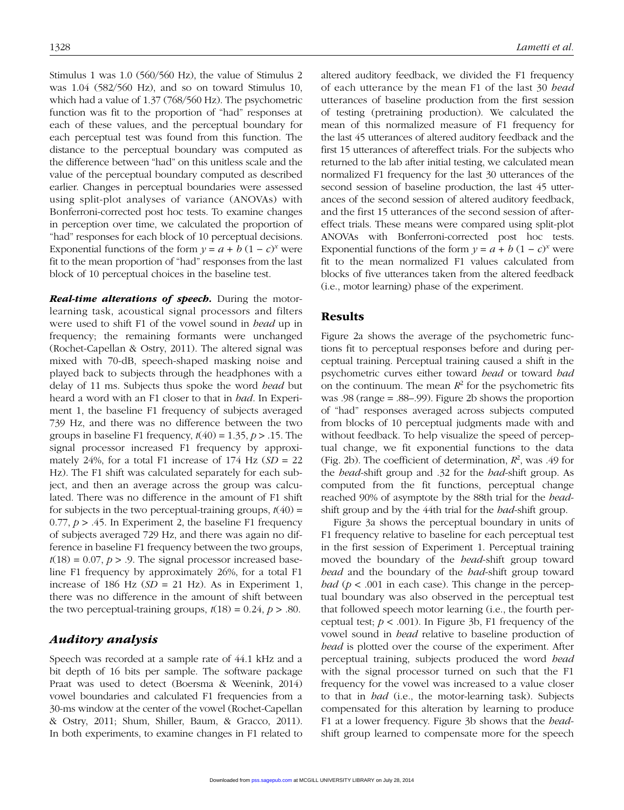Stimulus 1 was 1.0 (560/560 Hz), the value of Stimulus 2 was 1.04 (582/560 Hz), and so on toward Stimulus 10, which had a value of 1.37 (768/560 Hz). The psychometric function was fit to the proportion of "had" responses at each of these values, and the perceptual boundary for each perceptual test was found from this function. The distance to the perceptual boundary was computed as the difference between "had" on this unitless scale and the value of the perceptual boundary computed as described earlier. Changes in perceptual boundaries were assessed using split-plot analyses of variance (ANOVAs) with Bonferroni-corrected post hoc tests. To examine changes in perception over time, we calculated the proportion of "had" responses for each block of 10 perceptual decisions. Exponential functions of the form  $y = a + b(1 - c)^x$  were fit to the mean proportion of "had" responses from the last block of 10 perceptual choices in the baseline test.

*Real-time alterations of speech.* During the motorlearning task, acoustical signal processors and filters were used to shift F1 of the vowel sound in *head* up in frequency; the remaining formants were unchanged (Rochet-Capellan & Ostry, 2011). The altered signal was mixed with 70-dB, speech-shaped masking noise and played back to subjects through the headphones with a delay of 11 ms. Subjects thus spoke the word *head* but heard a word with an F1 closer to that in *had*. In Experiment 1, the baseline F1 frequency of subjects averaged 739 Hz, and there was no difference between the two groups in baseline F1 frequency,  $t(40) = 1.35$ ,  $p > .15$ . The signal processor increased F1 frequency by approximately 24%, for a total F1 increase of  $174$  Hz  $(SD = 22)$ Hz). The F1 shift was calculated separately for each subject, and then an average across the group was calculated. There was no difference in the amount of F1 shift for subjects in the two perceptual-training groups,  $t(40)$  = 0.77,  $p > .45$ . In Experiment 2, the baseline F1 frequency of subjects averaged 729 Hz, and there was again no difference in baseline F1 frequency between the two groups,  $t(18) = 0.07$ ,  $p > .9$ . The signal processor increased baseline F1 frequency by approximately 26%, for a total F1 increase of 186 Hz  $(SD = 21$  Hz). As in Experiment 1, there was no difference in the amount of shift between the two perceptual-training groups,  $t(18) = 0.24$ ,  $p > .80$ .

### *Auditory analysis*

Speech was recorded at a sample rate of 44.1 kHz and a bit depth of 16 bits per sample. The software package Praat was used to detect (Boersma & Weenink, 2014) vowel boundaries and calculated F1 frequencies from a 30-ms window at the center of the vowel (Rochet-Capellan & Ostry, 2011; Shum, Shiller, Baum, & Gracco, 2011). In both experiments, to examine changes in F1 related to altered auditory feedback, we divided the F1 frequency of each utterance by the mean F1 of the last 30 *head* utterances of baseline production from the first session of testing (pretraining production). We calculated the mean of this normalized measure of F1 frequency for the last 45 utterances of altered auditory feedback and the first 15 utterances of aftereffect trials. For the subjects who returned to the lab after initial testing, we calculated mean normalized F1 frequency for the last 30 utterances of the second session of baseline production, the last 45 utterances of the second session of altered auditory feedback, and the first 15 utterances of the second session of aftereffect trials. These means were compared using split-plot ANOVAs with Bonferroni-corrected post hoc tests. Exponential functions of the form  $y = a + b(1 - c)^x$  were fit to the mean normalized F1 values calculated from blocks of five utterances taken from the altered feedback (i.e., motor learning) phase of the experiment.

# Results

Figure 2a shows the average of the psychometric functions fit to perceptual responses before and during perceptual training. Perceptual training caused a shift in the psychometric curves either toward *head* or toward *had* on the continuum. The mean  $R^2$  for the psychometric fits was .98 (range = .88–.99). Figure 2b shows the proportion of "had" responses averaged across subjects computed from blocks of 10 perceptual judgments made with and without feedback. To help visualize the speed of perceptual change, we fit exponential functions to the data (Fig. 2b). The coefficient of determination,  $R^2$ , was .49 for the *head*-shift group and .32 for the *had*-shift group. As computed from the fit functions, perceptual change reached 90% of asymptote by the 88th trial for the *head*shift group and by the 44th trial for the *had*-shift group.

Figure 3a shows the perceptual boundary in units of F1 frequency relative to baseline for each perceptual test in the first session of Experiment 1. Perceptual training moved the boundary of the *head*-shift group toward *head* and the boundary of the *had*-shift group toward *had* ( $p < .001$  in each case). This change in the perceptual boundary was also observed in the perceptual test that followed speech motor learning (i.e., the fourth perceptual test;  $p < .001$ ). In Figure 3b, F1 frequency of the vowel sound in *head* relative to baseline production of *head* is plotted over the course of the experiment. After perceptual training, subjects produced the word *head* with the signal processor turned on such that the F1 frequency for the vowel was increased to a value closer to that in *had* (i.e., the motor-learning task). Subjects compensated for this alteration by learning to produce F1 at a lower frequency. Figure 3b shows that the *head*shift group learned to compensate more for the speech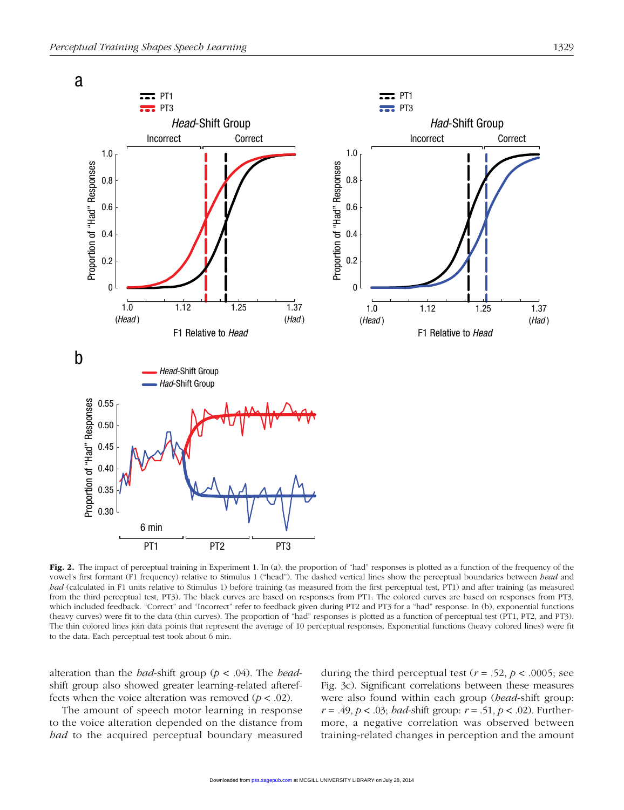

Fig. 2. The impact of perceptual training in Experiment 1. In (a), the proportion of "had" responses is plotted as a function of the frequency of the vowel's first formant (F1 frequency) relative to Stimulus 1 ("head"). The dashed vertical lines show the perceptual boundaries between *head* and *had* (calculated in F1 units relative to Stimulus 1) before training (as measured from the first perceptual test, PT1) and after training (as measured from the third perceptual test, PT3). The black curves are based on responses from PT1. The colored curves are based on responses from PT3, which included feedback. "Correct" and "Incorrect" refer to feedback given during PT2 and PT3 for a "had" response. In (b), exponential functions (heavy curves) were fit to the data (thin curves). The proportion of "had" responses is plotted as a function of perceptual test (PT1, PT2, and PT3). The thin colored lines join data points that represent the average of 10 perceptual responses. Exponential functions (heavy colored lines) were fit to the data. Each perceptual test took about 6 min.

alteration than the *had*-shift group (*p* < .04). The *head*shift group also showed greater learning-related aftereffects when the voice alteration was removed  $(p < .02)$ .

The amount of speech motor learning in response to the voice alteration depended on the distance from *had* to the acquired perceptual boundary measured during the third perceptual test ( $r = .52$ ,  $p < .0005$ ; see Fig. 3c). Significant correlations between these measures were also found within each group (*head*-shift group: *r* = .49, *p* < .03; *had*-shift group: *r* = .51, *p* < .02). Furthermore, a negative correlation was observed between training-related changes in perception and the amount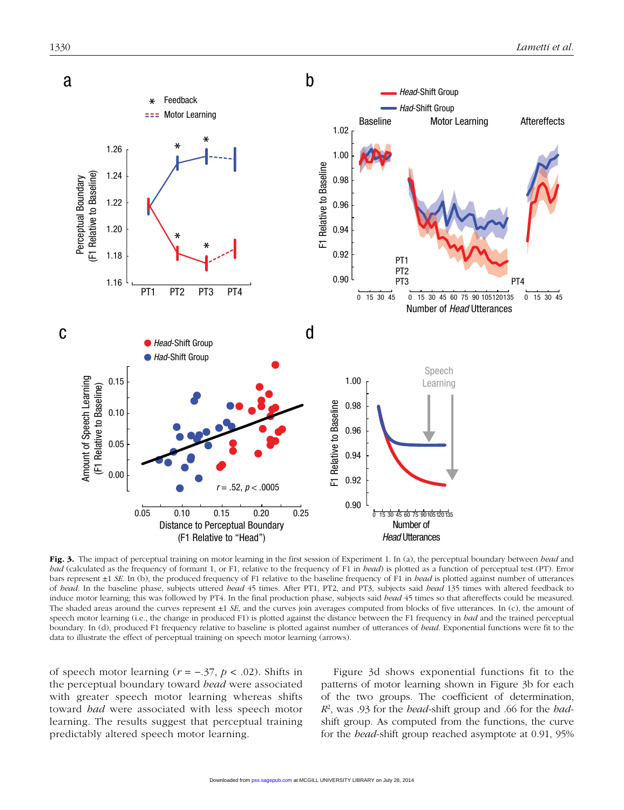

Fig. 3. The impact of perceptual training on motor learning in the first session of Experiment 1. In (a), the perceptual boundary between *head* and *had* (calculated as the frequency of formant 1, or F1, relative to the frequency of F1 in *head*) is plotted as a function of perceptual test (PT). Error bars represent ±1 *SE*. In (b), the produced frequency of F1 relative to the baseline frequency of F1 in *head* is plotted against number of utterances of *head*. In the baseline phase, subjects uttered *head* 45 times. After PT1, PT2, and PT3, subjects said *head* 135 times with altered feedback to induce motor learning; this was followed by PT4. In the final production phase, subjects said *head* 45 times so that aftereffects could be measured. The shaded areas around the curves represent  $\pm 1$  *SE*, and the curves join averages computed from blocks of five utterances. In (c), the amount of speech motor learning (i.e., the change in produced F1) is plotted against the distance between the F1 frequency in *had* and the trained perceptual boundary. In (d), produced F1 frequency relative to baseline is plotted against number of utterances of *head*. Exponential functions were fit to the data to illustrate the effect of perceptual training on speech motor learning (arrows).

of speech motor learning (*r* = −.37, *p* < .02). Shifts in the perceptual boundary toward *head* were associated with greater speech motor learning whereas shifts toward *had* were associated with less speech motor learning. The results suggest that perceptual training predictably altered speech motor learning.

Figure 3d shows exponential functions fit to the patterns of motor learning shown in Figure 3b for each of the two groups. The coefficient of determination, *R*2 , was .93 for the *head*-shift group and .66 for the *had*shift group. As computed from the functions, the curve for the *head*-shift group reached asymptote at 0.91, 95%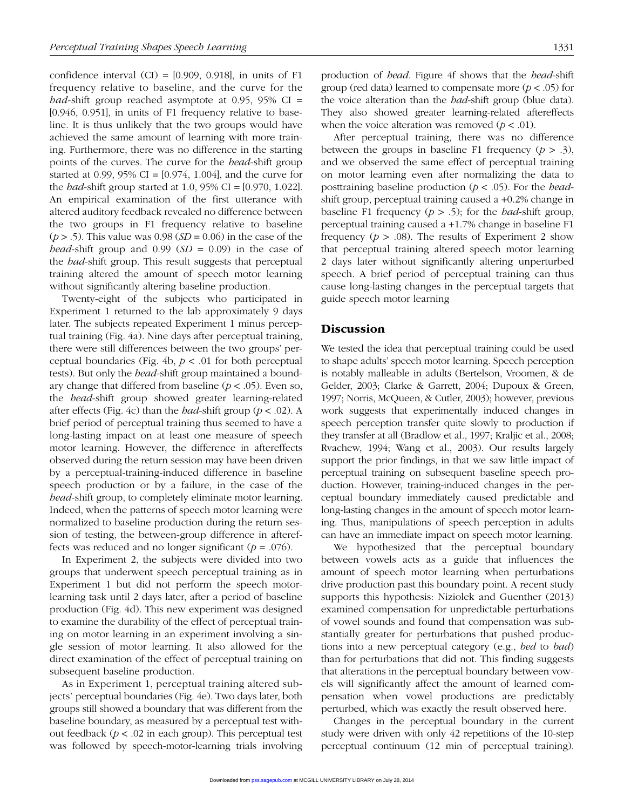confidence interval  $(CI) = [0.909, 0.918]$ , in units of F1 frequency relative to baseline, and the curve for the *had*-shift group reached asymptote at 0.95, 95% CI = [0.946, 0.951], in units of F1 frequency relative to baseline. It is thus unlikely that the two groups would have achieved the same amount of learning with more training. Furthermore, there was no difference in the starting points of the curves. The curve for the *head*-shift group started at 0.99, 95% CI =  $[0.974, 1.004]$ , and the curve for the *had*-shift group started at 1.0, 95% CI = [0.970, 1.022]. An empirical examination of the first utterance with altered auditory feedback revealed no difference between the two groups in F1 frequency relative to baseline (*p* > .5). This value was 0.98 (*SD* = 0.06) in the case of the *head*-shift group and  $0.99$  (*SD* = 0.09) in the case of the *had*-shift group. This result suggests that perceptual training altered the amount of speech motor learning without significantly altering baseline production.

Twenty-eight of the subjects who participated in Experiment 1 returned to the lab approximately 9 days later. The subjects repeated Experiment 1 minus perceptual training (Fig. 4a). Nine days after perceptual training, there were still differences between the two groups' perceptual boundaries (Fig. 4b, *p* < .01 for both perceptual tests). But only the *head*-shift group maintained a boundary change that differed from baseline (*p* < .05). Even so, the *head*-shift group showed greater learning-related after effects (Fig. 4c) than the *had*-shift group (*p* < .02). A brief period of perceptual training thus seemed to have a long-lasting impact on at least one measure of speech motor learning. However, the difference in aftereffects observed during the return session may have been driven by a perceptual-training-induced difference in baseline speech production or by a failure, in the case of the *head*-shift group, to completely eliminate motor learning. Indeed, when the patterns of speech motor learning were normalized to baseline production during the return session of testing, the between-group difference in aftereffects was reduced and no longer significant (*p* = .076).

In Experiment 2, the subjects were divided into two groups that underwent speech perceptual training as in Experiment 1 but did not perform the speech motorlearning task until 2 days later, after a period of baseline production (Fig. 4d). This new experiment was designed to examine the durability of the effect of perceptual training on motor learning in an experiment involving a single session of motor learning. It also allowed for the direct examination of the effect of perceptual training on subsequent baseline production.

As in Experiment 1, perceptual training altered subjects' perceptual boundaries (Fig. 4e). Two days later, both groups still showed a boundary that was different from the baseline boundary, as measured by a perceptual test without feedback  $(p < .02$  in each group). This perceptual test was followed by speech-motor-learning trials involving production of *head*. Figure 4f shows that the *head*-shift group (red data) learned to compensate more (*p* < .05) for the voice alteration than the *had*-shift group (blue data). They also showed greater learning-related aftereffects when the voice alteration was removed  $(p < .01)$ .

After perceptual training, there was no difference between the groups in baseline F1 frequency  $(p > .3)$ , and we observed the same effect of perceptual training on motor learning even after normalizing the data to posttraining baseline production (*p* < .05). For the *head*shift group, perceptual training caused a +0.2% change in baseline F1 frequency  $(p > .5)$ ; for the *had*-shift group, perceptual training caused a +1.7% change in baseline F1 frequency  $(p > .08)$ . The results of Experiment 2 show that perceptual training altered speech motor learning 2 days later without significantly altering unperturbed speech. A brief period of perceptual training can thus cause long-lasting changes in the perceptual targets that guide speech motor learning

# **Discussion**

We tested the idea that perceptual training could be used to shape adults' speech motor learning. Speech perception is notably malleable in adults (Bertelson, Vroomen, & de Gelder, 2003; Clarke & Garrett, 2004; Dupoux & Green, 1997; Norris, McQueen, & Cutler, 2003); however, previous work suggests that experimentally induced changes in speech perception transfer quite slowly to production if they transfer at all (Bradlow et al., 1997; Kraljic et al., 2008; Rvachew, 1994; Wang et al., 2003). Our results largely support the prior findings, in that we saw little impact of perceptual training on subsequent baseline speech production. However, training-induced changes in the perceptual boundary immediately caused predictable and long-lasting changes in the amount of speech motor learning. Thus, manipulations of speech perception in adults can have an immediate impact on speech motor learning.

We hypothesized that the perceptual boundary between vowels acts as a guide that influences the amount of speech motor learning when perturbations drive production past this boundary point. A recent study supports this hypothesis: Niziolek and Guenther (2013) examined compensation for unpredictable perturbations of vowel sounds and found that compensation was substantially greater for perturbations that pushed productions into a new perceptual category (e.g., *bed* to *bad*) than for perturbations that did not. This finding suggests that alterations in the perceptual boundary between vowels will significantly affect the amount of learned compensation when vowel productions are predictably perturbed, which was exactly the result observed here.

Changes in the perceptual boundary in the current study were driven with only 42 repetitions of the 10-step perceptual continuum (12 min of perceptual training).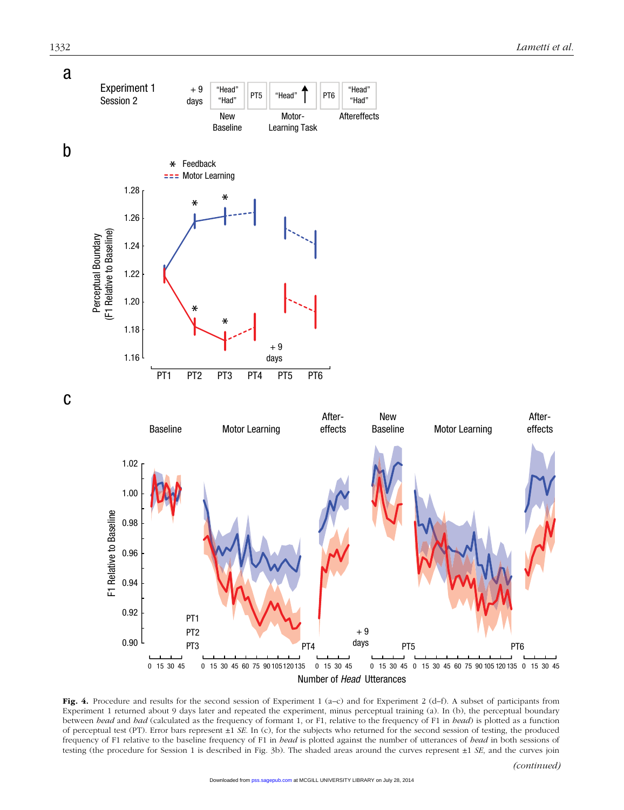

Fig. 4. Procedure and results for the second session of Experiment 1 (a–c) and for Experiment 2 (d–f). A subset of participants from Experiment 1 returned about 9 days later and repeated the experiment, minus perceptual training (a). In (b), the perceptual boundary between *head* and *had* (calculated as the frequency of formant 1, or F1, relative to the frequency of F1 in *head*) is plotted as a function of perceptual test (PT). Error bars represent ±1 *SE*. In (c), for the subjects who returned for the second session of testing, the produced frequency of F1 relative to the baseline frequency of F1 in *head* is plotted against the number of utterances of *head* in both sessions of testing (the procedure for Session 1 is described in Fig. 3b). The shaded areas around the curves represent ±1 *SE*, and the curves join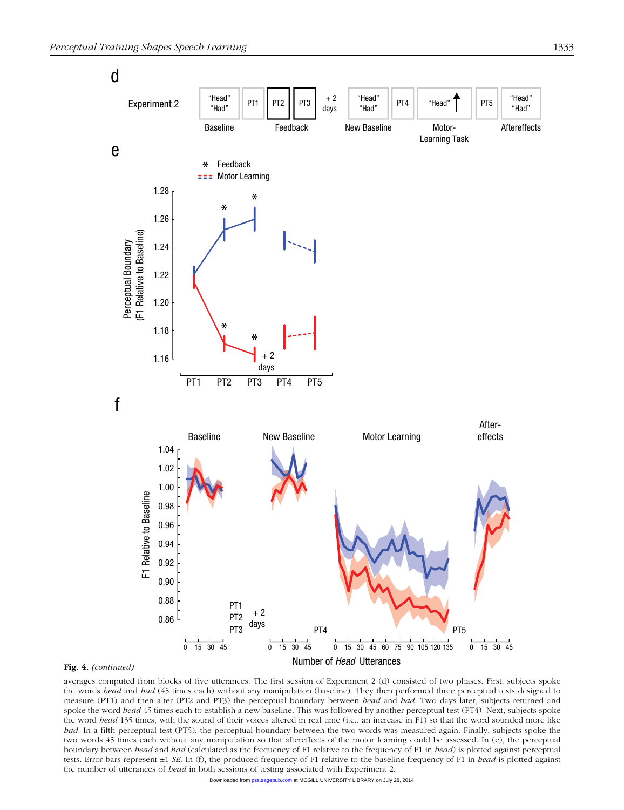



averages computed from blocks of five utterances. The first session of Experiment 2 (d) consisted of two phases. First, subjects spoke the words *head* and *had* (45 times each) without any manipulation (baseline). They then performed three perceptual tests designed to measure (PT1) and then alter (PT2 and PT3) the perceptual boundary between *head* and *had*. Two days later, subjects returned and spoke the word *head* 45 times each to establish a new baseline. This was followed by another perceptual test (PT4). Next, subjects spoke the word *head* 135 times, with the sound of their voices altered in real time (i.e., an increase in F1) so that the word sounded more like *had*. In a fifth perceptual test (PT5), the perceptual boundary between the two words was measured again. Finally, subjects spoke the two words 45 times each without any manipulation so that aftereffects of the motor learning could be assessed. In (e), the perceptual boundary between *head* and *had* (calculated as the frequency of F1 relative to the frequency of F1 in *head*) is plotted against perceptual tests. Error bars represent ±1 *SE*. In (f), the produced frequency of F1 relative to the baseline frequency of F1 in *head* is plotted against the number of utterances of *head* in both sessions of testing associated with Experiment 2.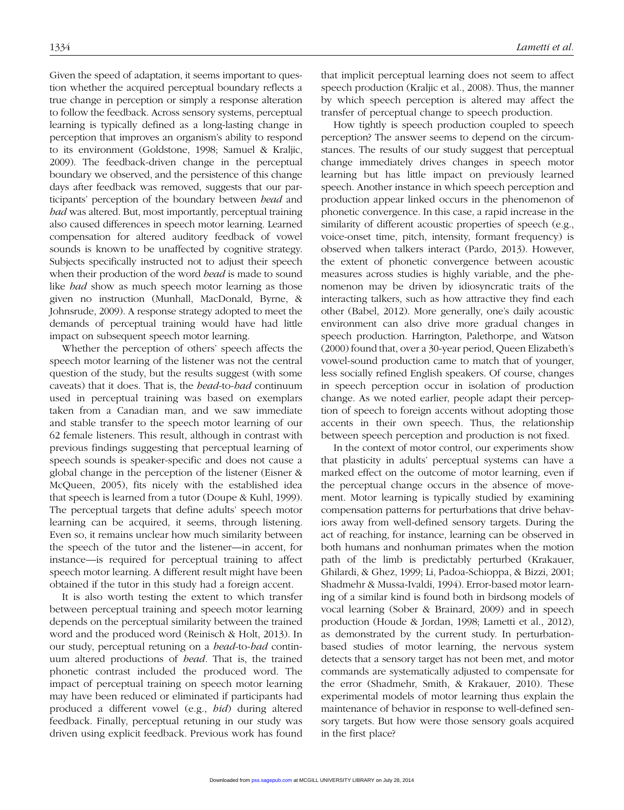Given the speed of adaptation, it seems important to question whether the acquired perceptual boundary reflects a true change in perception or simply a response alteration to follow the feedback. Across sensory systems, perceptual learning is typically defined as a long-lasting change in perception that improves an organism's ability to respond to its environment (Goldstone, 1998; Samuel & Kraljic, 2009). The feedback-driven change in the perceptual boundary we observed, and the persistence of this change days after feedback was removed, suggests that our participants' perception of the boundary between *head* and *had* was altered. But, most importantly, perceptual training also caused differences in speech motor learning. Learned compensation for altered auditory feedback of vowel sounds is known to be unaffected by cognitive strategy. Subjects specifically instructed not to adjust their speech when their production of the word *head* is made to sound like *had* show as much speech motor learning as those given no instruction (Munhall, MacDonald, Byrne, & Johnsrude, 2009). A response strategy adopted to meet the demands of perceptual training would have had little impact on subsequent speech motor learning.

Whether the perception of others' speech affects the speech motor learning of the listener was not the central question of the study, but the results suggest (with some caveats) that it does. That is, the *head*-to-*had* continuum used in perceptual training was based on exemplars taken from a Canadian man, and we saw immediate and stable transfer to the speech motor learning of our 62 female listeners. This result, although in contrast with previous findings suggesting that perceptual learning of speech sounds is speaker-specific and does not cause a global change in the perception of the listener (Eisner & McQueen, 2005), fits nicely with the established idea that speech is learned from a tutor (Doupe & Kuhl, 1999). The perceptual targets that define adults' speech motor learning can be acquired, it seems, through listening. Even so, it remains unclear how much similarity between the speech of the tutor and the listener—in accent, for instance—is required for perceptual training to affect speech motor learning. A different result might have been obtained if the tutor in this study had a foreign accent.

It is also worth testing the extent to which transfer between perceptual training and speech motor learning depends on the perceptual similarity between the trained word and the produced word (Reinisch & Holt, 2013). In our study, perceptual retuning on a *head*-to-*had* continuum altered productions of *head*. That is, the trained phonetic contrast included the produced word. The impact of perceptual training on speech motor learning may have been reduced or eliminated if participants had produced a different vowel (e.g., *hid*) during altered feedback. Finally, perceptual retuning in our study was driven using explicit feedback. Previous work has found that implicit perceptual learning does not seem to affect speech production (Kraljic et al., 2008). Thus, the manner by which speech perception is altered may affect the transfer of perceptual change to speech production.

How tightly is speech production coupled to speech perception? The answer seems to depend on the circumstances. The results of our study suggest that perceptual change immediately drives changes in speech motor learning but has little impact on previously learned speech. Another instance in which speech perception and production appear linked occurs in the phenomenon of phonetic convergence. In this case, a rapid increase in the similarity of different acoustic properties of speech (e.g., voice-onset time, pitch, intensity, formant frequency) is observed when talkers interact (Pardo, 2013). However, the extent of phonetic convergence between acoustic measures across studies is highly variable, and the phenomenon may be driven by idiosyncratic traits of the interacting talkers, such as how attractive they find each other (Babel, 2012). More generally, one's daily acoustic environment can also drive more gradual changes in speech production. Harrington, Palethorpe, and Watson (2000) found that, over a 30-year period, Queen Elizabeth's vowel-sound production came to match that of younger, less socially refined English speakers. Of course, changes in speech perception occur in isolation of production change. As we noted earlier, people adapt their perception of speech to foreign accents without adopting those accents in their own speech. Thus, the relationship between speech perception and production is not fixed.

In the context of motor control, our experiments show that plasticity in adults' perceptual systems can have a marked effect on the outcome of motor learning, even if the perceptual change occurs in the absence of movement. Motor learning is typically studied by examining compensation patterns for perturbations that drive behaviors away from well-defined sensory targets. During the act of reaching, for instance, learning can be observed in both humans and nonhuman primates when the motion path of the limb is predictably perturbed (Krakauer, Ghilardi, & Ghez, 1999; Li, Padoa-Schioppa, & Bizzi, 2001; Shadmehr & Mussa-Ivaldi, 1994). Error-based motor learning of a similar kind is found both in birdsong models of vocal learning (Sober & Brainard, 2009) and in speech production (Houde & Jordan, 1998; Lametti et al., 2012), as demonstrated by the current study. In perturbationbased studies of motor learning, the nervous system detects that a sensory target has not been met, and motor commands are systematically adjusted to compensate for the error (Shadmehr, Smith, & Krakauer, 2010). These experimental models of motor learning thus explain the maintenance of behavior in response to well-defined sensory targets. But how were those sensory goals acquired in the first place?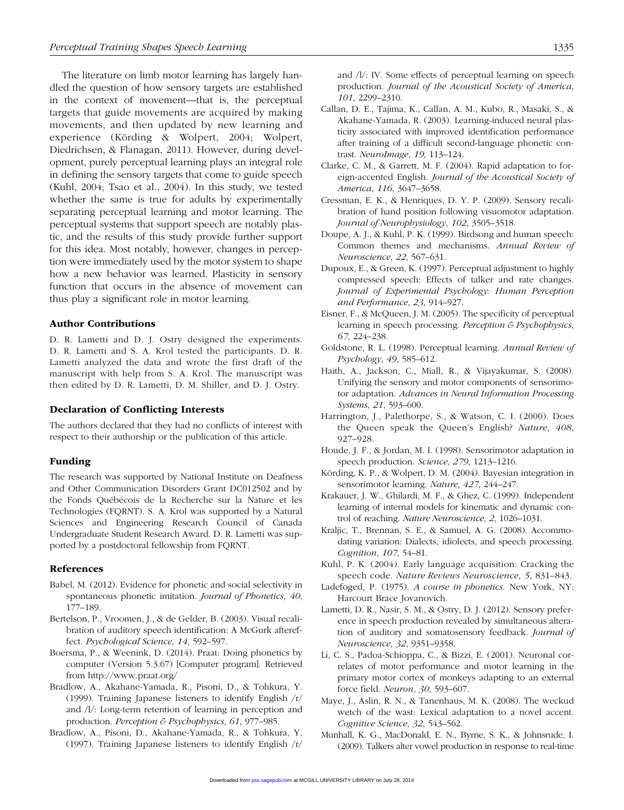The literature on limb motor learning has largely handled the question of how sensory targets are established in the context of movement—that is, the perceptual targets that guide movements are acquired by making movements, and then updated by new learning and experience (Körding & Wolpert, 2004; Wolpert, Diedrichsen, & Flanagan, 2011). However, during development, purely perceptual learning plays an integral role in defining the sensory targets that come to guide speech (Kuhl, 2004; Tsao et al., 2004). In this study, we tested whether the same is true for adults by experimentally separating perceptual learning and motor learning. The perceptual systems that support speech are notably plastic, and the results of this study provide further support for this idea. Most notably, however, changes in perception were immediately used by the motor system to shape how a new behavior was learned. Plasticity in sensory function that occurs in the absence of movement can thus play a significant role in motor learning.

#### Author Contributions

D. R. Lametti and D. J. Ostry designed the experiments. D. R. Lametti and S. A. Krol tested the participants. D. R. Lametti analyzed the data and wrote the first draft of the manuscript with help from S. A. Krol. The manuscript was then edited by D. R. Lametti, D. M. Shiller, and D. J. Ostry.

#### Declaration of Conflicting Interests

The authors declared that they had no conflicts of interest with respect to their authorship or the publication of this article.

#### Funding

The research was supported by National Institute on Deafness and Other Communication Disorders Grant DC012502 and by the Fonds Québécois de la Recherche sur la Nature et les Technologies (FQRNT). S. A. Krol was supported by a Natural Sciences and Engineering Research Council of Canada Undergraduate Student Research Award. D. R. Lametti was supported by a postdoctoral fellowship from FQRNT.

#### References

- Babel, M. (2012). Evidence for phonetic and social selectivity in spontaneous phonetic imitation. *Journal of Phonetics*, *40*, 177–189.
- Bertelson, P., Vroomen, J., & de Gelder, B. (2003). Visual recalibration of auditory speech identification: A McGurk aftereffect. *Psychological Science*, *14*, 592–597.
- Boersma, P., & Weenink, D. (2014). Praat: Doing phonetics by computer (Version 5.3.67) [Computer program]. Retrieved from http://www.praat.org/
- Bradlow, A., Akahane-Yamada, R., Pisoni, D., & Tohkura, Y. (1999). Training Japanese listeners to identify English /r/ and /l/: Long-term retention of learning in perception and production. *Perception & Psychophysics*, *61*, 977–985.
- Bradlow, A., Pisoni, D., Akahane-Yamada, R., & Tohkura, Y. (1997). Training Japanese listeners to identify English /r/

and /l/: IV. Some effects of perceptual learning on speech production. *Journal of the Acoustical Society of America*, *101*, 2299–2310.

- Callan, D. E., Tajima, K., Callan, A. M., Kubo, R., Masaki, S., & Akahane-Yamada, R. (2003). Learning-induced neural plasticity associated with improved identification performance after training of a difficult second-language phonetic contrast. *NeuroImage*, *19*, 113–124.
- Clarke, C. M., & Garrett, M. F. (2004). Rapid adaptation to foreign-accented English. *Journal of the Acoustical Society of America*, *116*, 3647–3658.
- Cressman, E. K., & Henriques, D. Y. P. (2009). Sensory recalibration of hand position following visuomotor adaptation. *Journal of Neurophysiology*, *102*, 3505–3518.
- Doupe, A. J., & Kuhl, P. K. (1999). Birdsong and human speech: Common themes and mechanisms. *Annual Review of Neuroscience*, *22*, 567–631.
- Dupoux, E., & Green, K. (1997). Perceptual adjustment to highly compressed speech: Effects of talker and rate changes. *Journal of Experimental Psychology: Human Perception and Performance*, *23*, 914–927.
- Eisner, F., & McQueen, J. M. (2005). The specificity of perceptual learning in speech processing. *Perception & Psychophysics*, *67*, 224–238.
- Goldstone, R. L. (1998). Perceptual learning. *Annual Review of Psychology*, *49*, 585–612.
- Haith, A., Jackson, C., Miall, R., & Vijayakumar, S. (2008). Unifying the sensory and motor components of sensorimotor adaptation. *Advances in Neural Information Processing Systems*, *21*, 593–600.
- Harrington, J., Palethorpe, S., & Watson, C. I. (2000). Does the Queen speak the Queen's English? *Nature*, *408*, 927–928.
- Houde, J. F., & Jordan, M. I. (1998). Sensorimotor adaptation in speech production. *Science*, *279*, 1213–1216.
- Körding, K. P., & Wolpert, D. M. (2004). Bayesian integration in sensorimotor learning. *Nature*, *427*, 244–247.
- Krakauer, J. W., Ghilardi, M. F., & Ghez, C. (1999). Independent learning of internal models for kinematic and dynamic control of reaching. *Nature Neuroscience*, *2*, 1026–1031.
- Kraljic, T., Brennan, S. E., & Samuel, A. G. (2008). Accommodating variation: Dialects, idiolects, and speech processing. *Cognition*, *107*, 54–81.
- Kuhl, P. K. (2004). Early language acquisition: Cracking the speech code. *Nature Reviews Neuroscience*, *5*, 831–843.
- Ladefoged, P. (1975). *A course in phonetics*. New York, NY: Harcourt Brace Jovanovich.
- Lametti, D. R., Nasir, S. M., & Ostry, D. J. (2012). Sensory preference in speech production revealed by simultaneous alteration of auditory and somatosensory feedback. *Journal of Neuroscience*, *32*, 9351–9358.
- Li, C. S., Padoa-Schioppa, C., & Bizzi, E. (2001). Neuronal correlates of motor performance and motor learning in the primary motor cortex of monkeys adapting to an external force field. *Neuron*, *30*, 593–607.
- Maye, J., Aslin, R. N., & Tanenhaus, M. K. (2008). The weckud wetch of the wast: Lexical adaptation to a novel accent. *Cognitive Science*, *32*, 543–562.
- Munhall, K. G., MacDonald, E. N., Byrne, S. K., & Johnsrude, I. (2009). Talkers alter vowel production in response to real-time